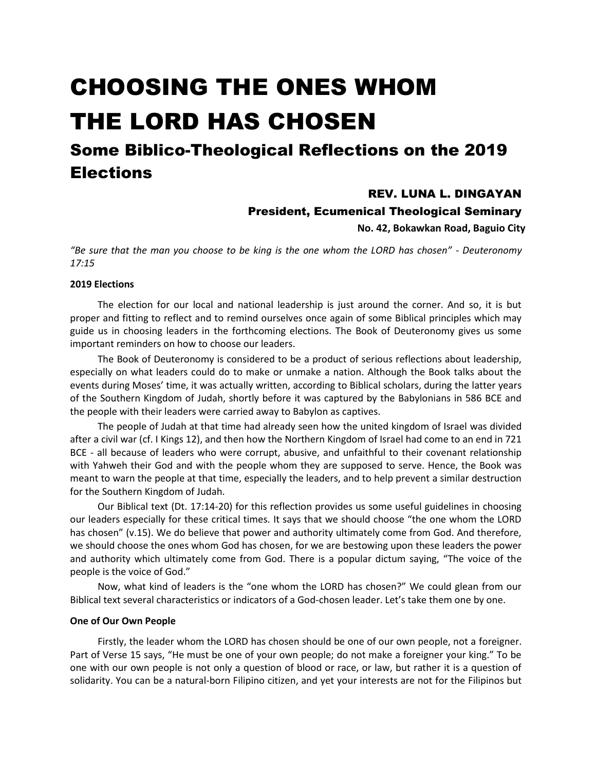# CHOOSING THE ONES WHOM THE LORD HAS CHOSEN

# Some Biblico-Theological Reflections on the 2019 **Elections**

# REV. LUNA L. DINGAYAN

## President, Ecumenical Theological Seminary

**No. 42, Bokawkan Road, Baguio City**

*"Be sure that the man you choose to be king is the one whom the LORD has chosen" - Deuteronomy 17:15* 

### **2019 Elections**

The election for our local and national leadership is just around the corner. And so, it is but proper and fitting to reflect and to remind ourselves once again of some Biblical principles which may guide us in choosing leaders in the forthcoming elections. The Book of Deuteronomy gives us some important reminders on how to choose our leaders.

The Book of Deuteronomy is considered to be a product of serious reflections about leadership, especially on what leaders could do to make or unmake a nation. Although the Book talks about the events during Moses' time, it was actually written, according to Biblical scholars, during the latter years of the Southern Kingdom of Judah, shortly before it was captured by the Babylonians in 586 BCE and the people with their leaders were carried away to Babylon as captives.

The people of Judah at that time had already seen how the united kingdom of Israel was divided after a civil war (cf. I Kings 12), and then how the Northern Kingdom of Israel had come to an end in 721 BCE - all because of leaders who were corrupt, abusive, and unfaithful to their covenant relationship with Yahweh their God and with the people whom they are supposed to serve. Hence, the Book was meant to warn the people at that time, especially the leaders, and to help prevent a similar destruction for the Southern Kingdom of Judah.

Our Biblical text (Dt. 17:14-20) for this reflection provides us some useful guidelines in choosing our leaders especially for these critical times. It says that we should choose "the one whom the LORD has chosen" (v.15). We do believe that power and authority ultimately come from God. And therefore, we should choose the ones whom God has chosen, for we are bestowing upon these leaders the power and authority which ultimately come from God. There is a popular dictum saying, "The voice of the people is the voice of God."

Now, what kind of leaders is the "one whom the LORD has chosen?" We could glean from our Biblical text several characteristics or indicators of a God-chosen leader. Let's take them one by one.

#### **One of Our Own People**

Firstly, the leader whom the LORD has chosen should be one of our own people, not a foreigner. Part of Verse 15 says, "He must be one of your own people; do not make a foreigner your king." To be one with our own people is not only a question of blood or race, or law, but rather it is a question of solidarity. You can be a natural-born Filipino citizen, and yet your interests are not for the Filipinos but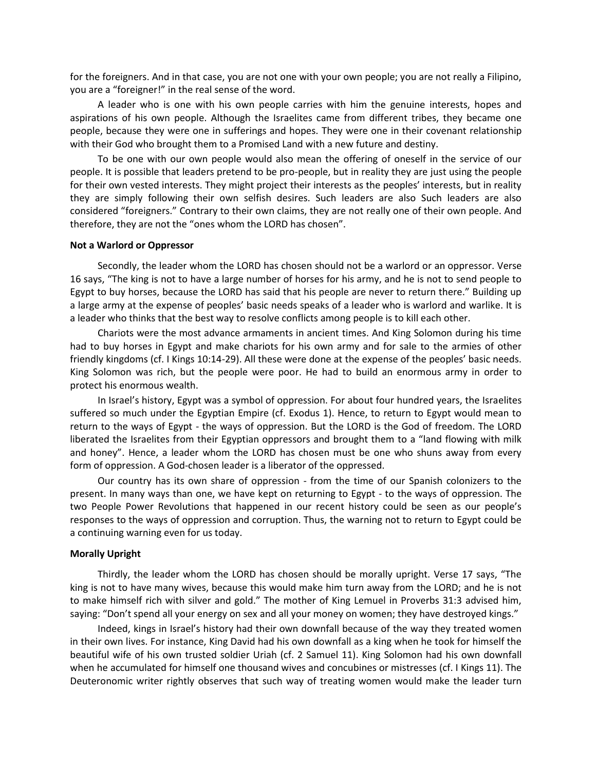for the foreigners. And in that case, you are not one with your own people; you are not really a Filipino, you are a "foreigner!" in the real sense of the word.

A leader who is one with his own people carries with him the genuine interests, hopes and aspirations of his own people. Although the Israelites came from different tribes, they became one people, because they were one in sufferings and hopes. They were one in their covenant relationship with their God who brought them to a Promised Land with a new future and destiny.

To be one with our own people would also mean the offering of oneself in the service of our people. It is possible that leaders pretend to be pro-people, but in reality they are just using the people for their own vested interests. They might project their interests as the peoples' interests, but in reality they are simply following their own selfish desires. Such leaders are also Such leaders are also considered "foreigners." Contrary to their own claims, they are not really one of their own people. And therefore, they are not the "ones whom the LORD has chosen".

#### **Not a Warlord or Oppressor**

Secondly, the leader whom the LORD has chosen should not be a warlord or an oppressor. Verse 16 says, "The king is not to have a large number of horses for his army, and he is not to send people to Egypt to buy horses, because the LORD has said that his people are never to return there." Building up a large army at the expense of peoples' basic needs speaks of a leader who is warlord and warlike. It is a leader who thinks that the best way to resolve conflicts among people is to kill each other.

Chariots were the most advance armaments in ancient times. And King Solomon during his time had to buy horses in Egypt and make chariots for his own army and for sale to the armies of other friendly kingdoms (cf. I Kings 10:14-29). All these were done at the expense of the peoples' basic needs. King Solomon was rich, but the people were poor. He had to build an enormous army in order to protect his enormous wealth.

In Israel's history, Egypt was a symbol of oppression. For about four hundred years, the Israelites suffered so much under the Egyptian Empire (cf. Exodus 1). Hence, to return to Egypt would mean to return to the ways of Egypt - the ways of oppression. But the LORD is the God of freedom. The LORD liberated the Israelites from their Egyptian oppressors and brought them to a "land flowing with milk and honey". Hence, a leader whom the LORD has chosen must be one who shuns away from every form of oppression. A God-chosen leader is a liberator of the oppressed.

Our country has its own share of oppression - from the time of our Spanish colonizers to the present. In many ways than one, we have kept on returning to Egypt - to the ways of oppression. The two People Power Revolutions that happened in our recent history could be seen as our people's responses to the ways of oppression and corruption. Thus, the warning not to return to Egypt could be a continuing warning even for us today.

#### **Morally Upright**

Thirdly, the leader whom the LORD has chosen should be morally upright. Verse 17 says, "The king is not to have many wives, because this would make him turn away from the LORD; and he is not to make himself rich with silver and gold." The mother of King Lemuel in Proverbs 31:3 advised him, saying: "Don't spend all your energy on sex and all your money on women; they have destroyed kings."

Indeed, kings in Israel's history had their own downfall because of the way they treated women in their own lives. For instance, King David had his own downfall as a king when he took for himself the beautiful wife of his own trusted soldier Uriah (cf. 2 Samuel 11). King Solomon had his own downfall when he accumulated for himself one thousand wives and concubines or mistresses (cf. I Kings 11). The Deuteronomic writer rightly observes that such way of treating women would make the leader turn